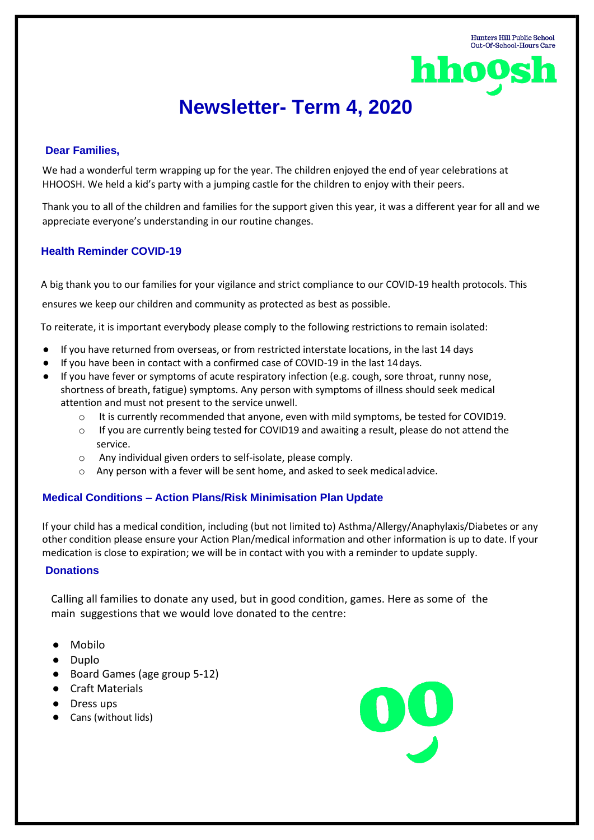

# **Newsletter- Term 4, 2020**

### **Dear Families,**

We had a wonderful term wrapping up for the year. The children enjoyed the end of year celebrations at HHOOSH. We held a kid's party with a jumping castle for the children to enjoy with their peers.

Thank you to all of the children and families for the support given this year, it was a different year for all and we appreciate everyone's understanding in our routine changes.

### **Health Reminder COVID-19**

A big thank you to our families for your vigilance and strict compliance to our COVID-19 health protocols. This

ensures we keep our children and community as protected as best as possible.

To reiterate, it is important everybody please comply to the following restrictions to remain isolated:

- If you have returned from overseas, or from restricted interstate locations, in the last 14 days
- If you have been in contact with a confirmed case of COVID-19 in the last 14days.
- If you have fever or symptoms of acute respiratory infection (e.g. cough, sore throat, runny nose, shortness of breath, fatigue) symptoms. Any person with symptoms of illness should seek medical attention and must not present to the service unwell.
	- $\circ$  It is currently recommended that anyone, even with mild symptoms, be tested for COVID19.
	- $\circ$  If you are currently being tested for COVID19 and awaiting a result, please do not attend the service.
	- $\circ$  Any individual given orders to self-isolate, please comply.
	- $\circ$  Any person with a fever will be sent home, and asked to seek medical advice.

## **Medical Conditions – Action Plans/Risk Minimisation Plan Update**

If your child has a medical condition, including (but not limited to) Asthma/Allergy/Anaphylaxis/Diabetes or any other condition please ensure your Action Plan/medical information and other information is up to date. If your medication is close to expiration; we will be in contact with you with a reminder to update supply.

#### **Donations**

Calling all families to donate any used, but in good condition, games. Here as some of the main suggestions that we would love donated to the centre:

- Mobilo
- Duplo
- Board Games (age group 5-12)
- Craft Materials
- Dress ups
- Cans (without lids)